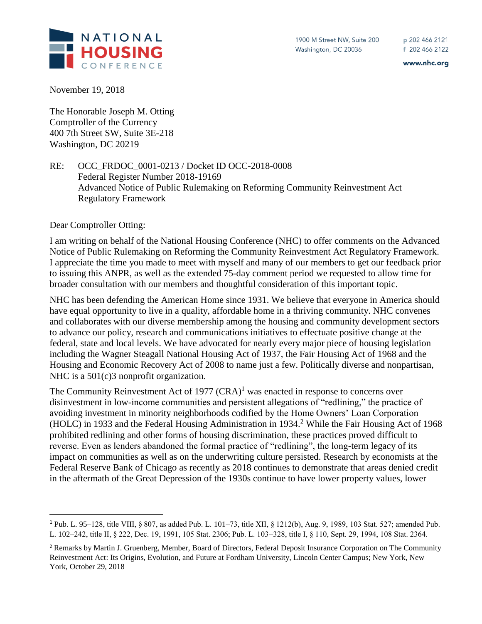www.nhc.org

November 19, 2018

The Honorable Joseph M. Otting Comptroller of the Currency 400 7th Street SW, Suite 3E-218 Washington, DC 20219

RE: OCC\_FRDOC\_0001-0213 / Docket ID OCC-2018-0008 Federal Register Number 2018-19169 Advanced Notice of Public Rulemaking on Reforming Community Reinvestment Act Regulatory Framework

Dear Comptroller Otting:

 $\overline{a}$ 

I am writing on behalf of the National Housing Conference (NHC) to offer comments on the Advanced Notice of Public Rulemaking on Reforming the Community Reinvestment Act Regulatory Framework. I appreciate the time you made to meet with myself and many of our members to get our feedback prior to issuing this ANPR, as well as the extended 75-day comment period we requested to allow time for broader consultation with our members and thoughtful consideration of this important topic.

NHC has been defending the American Home since 1931. We believe that everyone in America should have equal opportunity to live in a quality, affordable home in a thriving community. NHC convenes and collaborates with our diverse membership among the housing and community development sectors to advance our policy, research and communications initiatives to effectuate positive change at the federal, state and local levels. We have advocated for nearly every major piece of housing legislation including the Wagner Steagall National Housing Act of 1937, the Fair Housing Act of 1968 and the Housing and Economic Recovery Act of 2008 to name just a few. Politically diverse and nonpartisan, NHC is a 501(c)3 nonprofit organization.

The Community Reinvestment Act of 1977  $(CRA)^1$  was enacted in response to concerns over disinvestment in low-income communities and persistent allegations of "redlining," the practice of avoiding investment in minority neighborhoods codified by the Home Owners' Loan Corporation (HOLC) in 1933 and the Federal Housing Administration in 1934.<sup>2</sup> While the Fair Housing Act of 1968 prohibited redlining and other forms of housing discrimination, these practices proved difficult to reverse. Even as lenders abandoned the formal practice of "redlining", the long-term legacy of its impact on communities as well as on the underwriting culture persisted. Research by economists at the Federal Reserve Bank of Chicago as recently as 2018 continues to demonstrate that areas denied credit in the aftermath of the Great Depression of the 1930s continue to have lower property values, lower

<sup>1</sup> Pub. L. 95–128, title VIII, § 807, as added Pub. L. 101–73, title XII, § 1212(b), Aug. 9, 1989, 103 Stat. 527; amended Pub. L. 102–242, title II, § 222, Dec. 19, 1991, 105 Stat. 2306; Pub. L. 103–328, title I, § 110, Sept. 29, 1994, 108 Stat. 2364.

<sup>&</sup>lt;sup>2</sup> Remarks by Martin J. Gruenberg, Member, Board of Directors, Federal Deposit Insurance Corporation on The Community Reinvestment Act: Its Origins, Evolution, and Future at Fordham University, Lincoln Center Campus; New York, New York, October 29, 2018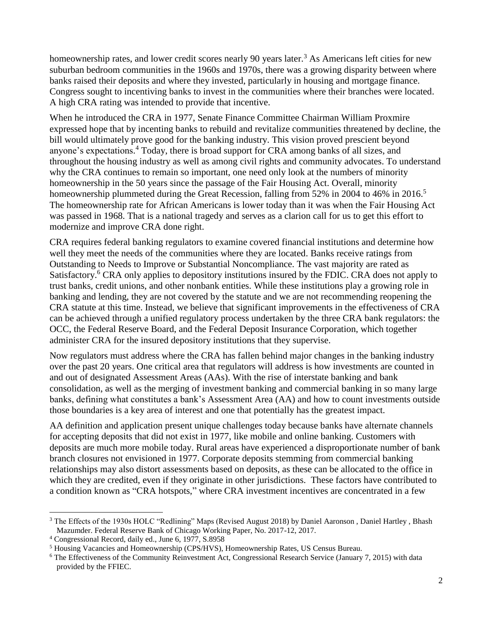homeownership rates, and lower credit scores nearly 90 years later.<sup>3</sup> As Americans left cities for new suburban bedroom communities in the 1960s and 1970s, there was a growing disparity between where banks raised their deposits and where they invested, particularly in housing and mortgage finance. Congress sought to incentiving banks to invest in the communities where their branches were located. A high CRA rating was intended to provide that incentive.

When he introduced the CRA in 1977, Senate Finance Committee Chairman William Proxmire expressed hope that by incenting banks to rebuild and revitalize communities threatened by decline, the bill would ultimately prove good for the banking industry. This vision proved prescient beyond anyone's expectations. <sup>4</sup> Today, there is broad support for CRA among banks of all sizes, and throughout the housing industry as well as among civil rights and community advocates. To understand why the CRA continues to remain so important, one need only look at the numbers of minority homeownership in the 50 years since the passage of the Fair Housing Act. Overall, minority homeownership plummeted during the Great Recession, falling from 52% in 2004 to 46% in 2016.<sup>5</sup> The homeownership rate for African Americans is lower today than it was when the Fair Housing Act was passed in 1968. That is a national tragedy and serves as a clarion call for us to get this effort to modernize and improve CRA done right.

CRA requires federal banking regulators to examine covered financial institutions and determine how well they meet the needs of the communities where they are located. Banks receive ratings from Outstanding to Needs to Improve or Substantial Noncompliance. The vast majority are rated as Satisfactory.<sup>6</sup> CRA only applies to depository institutions insured by the FDIC. CRA does not apply to trust banks, credit unions, and other nonbank entities. While these institutions play a growing role in banking and lending, they are not covered by the statute and we are not recommending reopening the CRA statute at this time. Instead, we believe that significant improvements in the effectiveness of CRA can be achieved through a unified regulatory process undertaken by the three CRA bank regulators: the OCC, the Federal Reserve Board, and the Federal Deposit Insurance Corporation, which together administer CRA for the insured depository institutions that they supervise.

Now regulators must address where the CRA has fallen behind major changes in the banking industry over the past 20 years. One critical area that regulators will address is how investments are counted in and out of designated Assessment Areas (AAs). With the rise of interstate banking and bank consolidation, as well as the merging of investment banking and commercial banking in so many large banks, defining what constitutes a bank's Assessment Area (AA) and how to count investments outside those boundaries is a key area of interest and one that potentially has the greatest impact.

AA definition and application present unique challenges today because banks have alternate channels for accepting deposits that did not exist in 1977, like mobile and online banking. Customers with deposits are much more mobile today. Rural areas have experienced a disproportionate number of bank branch closures not envisioned in 1977. Corporate deposits stemming from commercial banking relationships may also distort assessments based on deposits, as these can be allocated to the office in which they are credited, even if they originate in other jurisdictions. These factors have contributed to a condition known as "CRA hotspots," where CRA investment incentives are concentrated in a few

 $\overline{\phantom{a}}$ 

<sup>&</sup>lt;sup>3</sup> The Effects of the 1930s HOLC "Redlining" Maps (Revised August 2018) by Daniel Aaronson, Daniel Hartley, Bhash Mazumder. Federal Reserve Bank of Chicago Working Paper, No. 2017-12, 2017.

<sup>4</sup> Congressional Record, daily ed., June 6, 1977, S.8958

<sup>5</sup> Housing Vacancies and Homeownership (CPS/HVS), Homeownership Rates, US Census Bureau.

<sup>&</sup>lt;sup>6</sup> The Effectiveness of the Community Reinvestment Act, Congressional Research Service (January 7, 2015) with data provided by the FFIEC.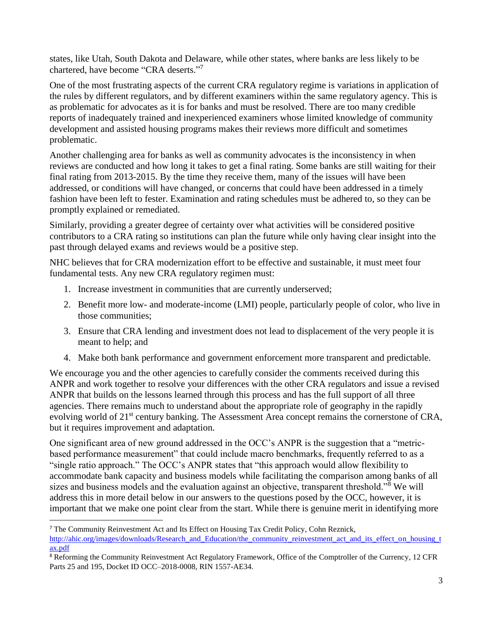states, like Utah, South Dakota and Delaware, while other states, where banks are less likely to be chartered, have become "CRA deserts."7

One of the most frustrating aspects of the current CRA regulatory regime is variations in application of the rules by different regulators, and by different examiners within the same regulatory agency. This is as problematic for advocates as it is for banks and must be resolved. There are too many credible reports of inadequately trained and inexperienced examiners whose limited knowledge of community development and assisted housing programs makes their reviews more difficult and sometimes problematic.

Another challenging area for banks as well as community advocates is the inconsistency in when reviews are conducted and how long it takes to get a final rating. Some banks are still waiting for their final rating from 2013-2015. By the time they receive them, many of the issues will have been addressed, or conditions will have changed, or concerns that could have been addressed in a timely fashion have been left to fester. Examination and rating schedules must be adhered to, so they can be promptly explained or remediated.

Similarly, providing a greater degree of certainty over what activities will be considered positive contributors to a CRA rating so institutions can plan the future while only having clear insight into the past through delayed exams and reviews would be a positive step.

NHC believes that for CRA modernization effort to be effective and sustainable, it must meet four fundamental tests. Any new CRA regulatory regimen must:

1. Increase investment in communities that are currently underserved;

 $\overline{\phantom{a}}$ 

- 2. Benefit more low- and moderate-income (LMI) people, particularly people of color, who live in those communities;
- 3. Ensure that CRA lending and investment does not lead to displacement of the very people it is meant to help; and
- 4. Make both bank performance and government enforcement more transparent and predictable.

We encourage you and the other agencies to carefully consider the comments received during this ANPR and work together to resolve your differences with the other CRA regulators and issue a revised ANPR that builds on the lessons learned through this process and has the full support of all three agencies. There remains much to understand about the appropriate role of geography in the rapidly evolving world of 21<sup>st</sup> century banking. The Assessment Area concept remains the cornerstone of CRA, but it requires improvement and adaptation.

One significant area of new ground addressed in the OCC's ANPR is the suggestion that a "metricbased performance measurement" that could include macro benchmarks, frequently referred to as a "single ratio approach." The OCC's ANPR states that "this approach would allow flexibility to accommodate bank capacity and business models while facilitating the comparison among banks of all sizes and business models and the evaluation against an objective, transparent threshold."<sup>8</sup> We will address this in more detail below in our answers to the questions posed by the OCC, however, it is important that we make one point clear from the start. While there is genuine merit in identifying more

<sup>7</sup> The Community Reinvestment Act and Its Effect on Housing Tax Credit Policy, Cohn Reznick, [http://ahic.org/images/downloads/Research\\_and\\_Education/the\\_community\\_reinvestment\\_act\\_and\\_its\\_effect\\_on\\_housing\\_t](http://ahic.org/images/downloads/Research_and_Education/the_community_reinvestment_act_and_its_effect_on_housing_tax.pdf) [ax.pdf](http://ahic.org/images/downloads/Research_and_Education/the_community_reinvestment_act_and_its_effect_on_housing_tax.pdf)

<sup>8</sup> Reforming the Community Reinvestment Act Regulatory Framework, Office of the Comptroller of the Currency, 12 CFR Parts 25 and 195, Docket ID OCC–2018-0008, RIN 1557-AE34.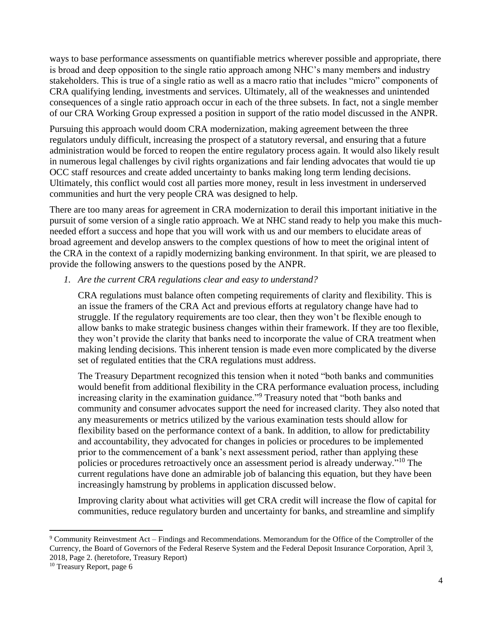ways to base performance assessments on quantifiable metrics wherever possible and appropriate, there is broad and deep opposition to the single ratio approach among NHC's many members and industry stakeholders. This is true of a single ratio as well as a macro ratio that includes "micro" components of CRA qualifying lending, investments and services. Ultimately, all of the weaknesses and unintended consequences of a single ratio approach occur in each of the three subsets. In fact, not a single member of our CRA Working Group expressed a position in support of the ratio model discussed in the ANPR.

Pursuing this approach would doom CRA modernization, making agreement between the three regulators unduly difficult, increasing the prospect of a statutory reversal, and ensuring that a future administration would be forced to reopen the entire regulatory process again. It would also likely result in numerous legal challenges by civil rights organizations and fair lending advocates that would tie up OCC staff resources and create added uncertainty to banks making long term lending decisions. Ultimately, this conflict would cost all parties more money, result in less investment in underserved communities and hurt the very people CRA was designed to help.

There are too many areas for agreement in CRA modernization to derail this important initiative in the pursuit of some version of a single ratio approach. We at NHC stand ready to help you make this muchneeded effort a success and hope that you will work with us and our members to elucidate areas of broad agreement and develop answers to the complex questions of how to meet the original intent of the CRA in the context of a rapidly modernizing banking environment. In that spirit, we are pleased to provide the following answers to the questions posed by the ANPR.

*1. Are the current CRA regulations clear and easy to understand?*

CRA regulations must balance often competing requirements of clarity and flexibility. This is an issue the framers of the CRA Act and previous efforts at regulatory change have had to struggle. If the regulatory requirements are too clear, then they won't be flexible enough to allow banks to make strategic business changes within their framework. If they are too flexible, they won't provide the clarity that banks need to incorporate the value of CRA treatment when making lending decisions. This inherent tension is made even more complicated by the diverse set of regulated entities that the CRA regulations must address.

The Treasury Department recognized this tension when it noted "both banks and communities would benefit from additional flexibility in the CRA performance evaluation process, including increasing clarity in the examination guidance."<sup>9</sup> Treasury noted that "both banks and community and consumer advocates support the need for increased clarity. They also noted that any measurements or metrics utilized by the various examination tests should allow for flexibility based on the performance context of a bank. In addition, to allow for predictability and accountability, they advocated for changes in policies or procedures to be implemented prior to the commencement of a bank's next assessment period, rather than applying these policies or procedures retroactively once an assessment period is already underway."<sup>10</sup> The current regulations have done an admirable job of balancing this equation, but they have been increasingly hamstrung by problems in application discussed below.

Improving clarity about what activities will get CRA credit will increase the flow of capital for communities, reduce regulatory burden and uncertainty for banks, and streamline and simplify

 $\overline{\phantom{a}}$ <sup>9</sup> Community Reinvestment Act – Findings and Recommendations. Memorandum for the Office of the Comptroller of the Currency, the Board of Governors of the Federal Reserve System and the Federal Deposit Insurance Corporation, April 3, 2018, Page 2. (heretofore, Treasury Report)

<sup>&</sup>lt;sup>10</sup> Treasury Report, page 6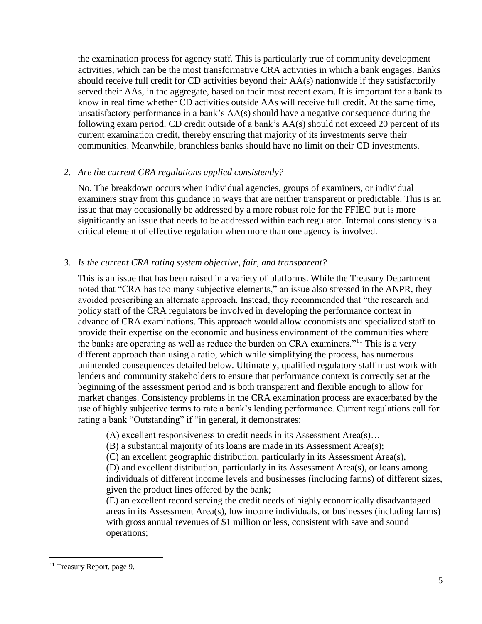the examination process for agency staff. This is particularly true of community development activities, which can be the most transformative CRA activities in which a bank engages. Banks should receive full credit for CD activities beyond their AA(s) nationwide if they satisfactorily served their AAs, in the aggregate, based on their most recent exam. It is important for a bank to know in real time whether CD activities outside AAs will receive full credit. At the same time, unsatisfactory performance in a bank's AA(s) should have a negative consequence during the following exam period. CD credit outside of a bank's AA(s) should not exceed 20 percent of its current examination credit, thereby ensuring that majority of its investments serve their communities. Meanwhile, branchless banks should have no limit on their CD investments.

## *2. Are the current CRA regulations applied consistently?*

No. The breakdown occurs when individual agencies, groups of examiners, or individual examiners stray from this guidance in ways that are neither transparent or predictable. This is an issue that may occasionally be addressed by a more robust role for the FFIEC but is more significantly an issue that needs to be addressed within each regulator. Internal consistency is a critical element of effective regulation when more than one agency is involved.

# *3. Is the current CRA rating system objective, fair, and transparent?*

This is an issue that has been raised in a variety of platforms. While the Treasury Department noted that "CRA has too many subjective elements," an issue also stressed in the ANPR, they avoided prescribing an alternate approach. Instead, they recommended that "the research and policy staff of the CRA regulators be involved in developing the performance context in advance of CRA examinations. This approach would allow economists and specialized staff to provide their expertise on the economic and business environment of the communities where the banks are operating as well as reduce the burden on CRA examiners."<sup>11</sup> This is a very different approach than using a ratio, which while simplifying the process, has numerous unintended consequences detailed below. Ultimately, qualified regulatory staff must work with lenders and community stakeholders to ensure that performance context is correctly set at the beginning of the assessment period and is both transparent and flexible enough to allow for market changes. Consistency problems in the CRA examination process are exacerbated by the use of highly subjective terms to rate a bank's lending performance. Current regulations call for rating a bank "Outstanding" if "in general, it demonstrates:

(A) excellent responsiveness to credit needs in its Assessment Area(s)…

(B) a substantial majority of its loans are made in its Assessment Area(s);

(C) an excellent geographic distribution, particularly in its Assessment Area(s),

(D) and excellent distribution, particularly in its Assessment Area(s), or loans among individuals of different income levels and businesses (including farms) of different sizes, given the product lines offered by the bank;

(E) an excellent record serving the credit needs of highly economically disadvantaged areas in its Assessment Area(s), low income individuals, or businesses (including farms) with gross annual revenues of \$1 million or less, consistent with save and sound operations;

 $\overline{a}$ 

<sup>&</sup>lt;sup>11</sup> Treasury Report, page 9.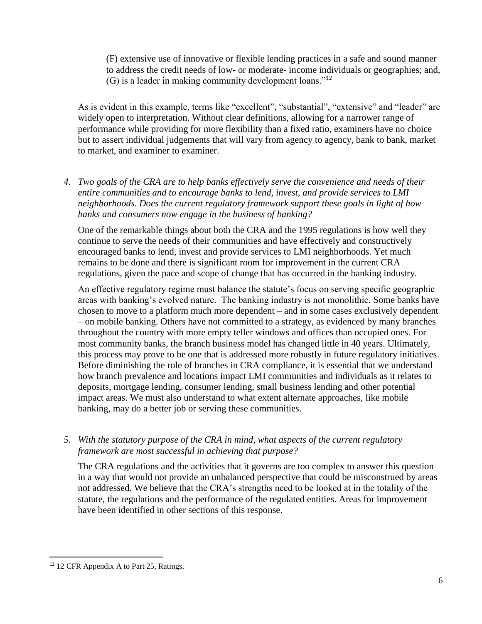(F) extensive use of innovative or flexible lending practices in a safe and sound manner to address the credit needs of low- or moderate- income individuals or geographies; and, (G) is a leader in making community development loans."<sup>12</sup>

As is evident in this example, terms like "excellent", "substantial", "extensive" and "leader" are widely open to interpretation. Without clear definitions, allowing for a narrower range of performance while providing for more flexibility than a fixed ratio, examiners have no choice but to assert individual judgements that will vary from agency to agency, bank to bank, market to market, and examiner to examiner.

*4. Two goals of the CRA are to help banks effectively serve the convenience and needs of their entire communities and to encourage banks to lend, invest, and provide services to LMI neighborhoods. Does the current regulatory framework support these goals in light of how banks and consumers now engage in the business of banking?*

One of the remarkable things about both the CRA and the 1995 regulations is how well they continue to serve the needs of their communities and have effectively and constructively encouraged banks to lend, invest and provide services to LMI neighborhoods. Yet much remains to be done and there is significant room for improvement in the current CRA regulations, given the pace and scope of change that has occurred in the banking industry.

An effective regulatory regime must balance the statute's focus on serving specific geographic areas with banking's evolved nature. The banking industry is not monolithic. Some banks have chosen to move to a platform much more dependent – and in some cases exclusively dependent – on mobile banking. Others have not committed to a strategy, as evidenced by many branches throughout the country with more empty teller windows and offices than occupied ones. For most community banks, the branch business model has changed little in 40 years. Ultimately, this process may prove to be one that is addressed more robustly in future regulatory initiatives. Before diminishing the role of branches in CRA compliance, it is essential that we understand how branch prevalence and locations impact LMI communities and individuals as it relates to deposits, mortgage lending, consumer lending, small business lending and other potential impact areas. We must also understand to what extent alternate approaches, like mobile banking, may do a better job or serving these communities.

*5. With the statutory purpose of the CRA in mind, what aspects of the current regulatory framework are most successful in achieving that purpose?*

The CRA regulations and the activities that it governs are too complex to answer this question in a way that would not provide an unbalanced perspective that could be misconstrued by areas not addressed. We believe that the CRA's strengths need to be looked at in the totality of the statute, the regulations and the performance of the regulated entities. Areas for improvement have been identified in other sections of this response.

 $\overline{a}$ 

<sup>12</sup> 12 CFR Appendix A to Part 25, Ratings.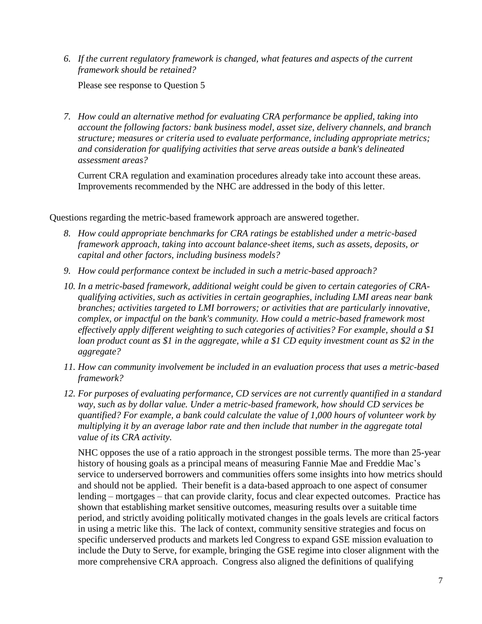*6. If the current regulatory framework is changed, what features and aspects of the current framework should be retained?*

Please see response to Question 5

*7. How could an alternative method for evaluating CRA performance be applied, taking into account the following factors: bank business model, asset size, delivery channels, and branch structure; measures or criteria used to evaluate performance, including appropriate metrics; and consideration for qualifying activities that serve areas outside a bank's delineated assessment areas?*

Current CRA regulation and examination procedures already take into account these areas. Improvements recommended by the NHC are addressed in the body of this letter.

Questions regarding the metric-based framework approach are answered together.

- *8. How could appropriate benchmarks for CRA ratings be established under a metric-based framework approach, taking into account balance-sheet items, such as assets, deposits, or capital and other factors, including business models?*
- *9. How could performance context be included in such a metric-based approach?*
- *10. In a metric-based framework, additional weight could be given to certain categories of CRAqualifying activities, such as activities in certain geographies, including LMI areas near bank branches; activities targeted to LMI borrowers; or activities that are particularly innovative, complex, or impactful on the bank's community. How could a metric-based framework most effectively apply different weighting to such categories of activities? For example, should a \$1 loan product count as \$1 in the aggregate, while a \$1 CD equity investment count as \$2 in the aggregate?*
- *11. How can community involvement be included in an evaluation process that uses a metric-based framework?*
- *12. For purposes of evaluating performance, CD services are not currently quantified in a standard way, such as by dollar value. Under a metric-based framework, how should CD services be quantified? For example, a bank could calculate the value of 1,000 hours of volunteer work by multiplying it by an average labor rate and then include that number in the aggregate total value of its CRA activity.*

NHC opposes the use of a ratio approach in the strongest possible terms. The more than 25-year history of housing goals as a principal means of measuring Fannie Mae and Freddie Mac's service to underserved borrowers and communities offers some insights into how metrics should and should not be applied. Their benefit is a data-based approach to one aspect of consumer lending – mortgages – that can provide clarity, focus and clear expected outcomes. Practice has shown that establishing market sensitive outcomes, measuring results over a suitable time period, and strictly avoiding politically motivated changes in the goals levels are critical factors in using a metric like this. The lack of context, community sensitive strategies and focus on specific underserved products and markets led Congress to expand GSE mission evaluation to include the Duty to Serve, for example, bringing the GSE regime into closer alignment with the more comprehensive CRA approach. Congress also aligned the definitions of qualifying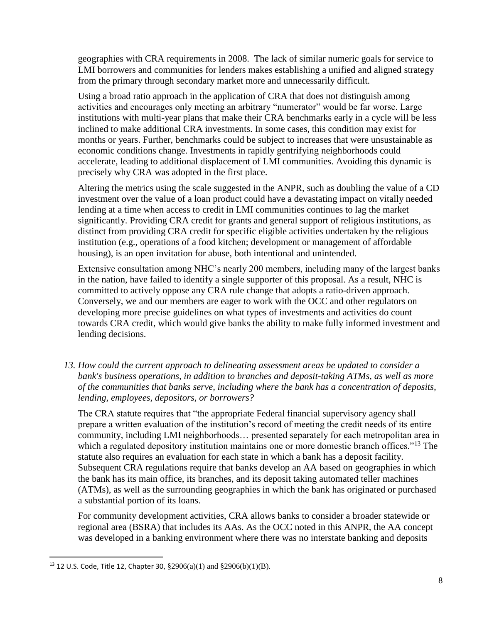geographies with CRA requirements in 2008. The lack of similar numeric goals for service to LMI borrowers and communities for lenders makes establishing a unified and aligned strategy from the primary through secondary market more and unnecessarily difficult.

Using a broad ratio approach in the application of CRA that does not distinguish among activities and encourages only meeting an arbitrary "numerator" would be far worse. Large institutions with multi-year plans that make their CRA benchmarks early in a cycle will be less inclined to make additional CRA investments. In some cases, this condition may exist for months or years. Further, benchmarks could be subject to increases that were unsustainable as economic conditions change. Investments in rapidly gentrifying neighborhoods could accelerate, leading to additional displacement of LMI communities. Avoiding this dynamic is precisely why CRA was adopted in the first place.

Altering the metrics using the scale suggested in the ANPR, such as doubling the value of a CD investment over the value of a loan product could have a devastating impact on vitally needed lending at a time when access to credit in LMI communities continues to lag the market significantly. Providing CRA credit for grants and general support of religious institutions, as distinct from providing CRA credit for specific eligible activities undertaken by the religious institution (e.g., operations of a food kitchen; development or management of affordable housing), is an open invitation for abuse, both intentional and unintended.

Extensive consultation among NHC's nearly 200 members, including many of the largest banks in the nation, have failed to identify a single supporter of this proposal. As a result, NHC is committed to actively oppose any CRA rule change that adopts a ratio-driven approach. Conversely, we and our members are eager to work with the OCC and other regulators on developing more precise guidelines on what types of investments and activities do count towards CRA credit, which would give banks the ability to make fully informed investment and lending decisions.

*13. How could the current approach to delineating assessment areas be updated to consider a bank's business operations, in addition to branches and deposit-taking ATMs, as well as more of the communities that banks serve, including where the bank has a concentration of deposits, lending, employees, depositors, or borrowers?*

The CRA statute requires that "the appropriate Federal financial supervisory agency shall prepare a written evaluation of the institution's record of meeting the credit needs of its entire community, including LMI neighborhoods… presented separately for each metropolitan area in which a regulated depository institution maintains one or more domestic branch offices."<sup>13</sup> The statute also requires an evaluation for each state in which a bank has a deposit facility. Subsequent CRA regulations require that banks develop an AA based on geographies in which the bank has its main office, its branches, and its deposit taking automated teller machines (ATMs), as well as the surrounding geographies in which the bank has originated or purchased a substantial portion of its loans.

For community development activities, CRA allows banks to consider a broader statewide or regional area (BSRA) that includes its AAs. As the OCC noted in this ANPR, the AA concept was developed in a banking environment where there was no interstate banking and deposits

 $\overline{a}$ 

<sup>&</sup>lt;sup>13</sup> 12 U.S. Code, Title 12, Chapter 30,  $\S 2906(a)(1)$  and  $\S 2906(b)(1)(B)$ .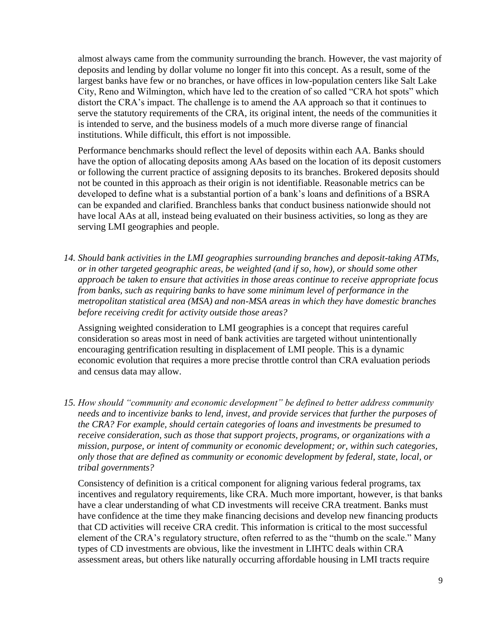almost always came from the community surrounding the branch. However, the vast majority of deposits and lending by dollar volume no longer fit into this concept. As a result, some of the largest banks have few or no branches, or have offices in low-population centers like Salt Lake City, Reno and Wilmington, which have led to the creation of so called "CRA hot spots" which distort the CRA's impact. The challenge is to amend the AA approach so that it continues to serve the statutory requirements of the CRA, its original intent, the needs of the communities it is intended to serve, and the business models of a much more diverse range of financial institutions. While difficult, this effort is not impossible.

Performance benchmarks should reflect the level of deposits within each AA. Banks should have the option of allocating deposits among AAs based on the location of its deposit customers or following the current practice of assigning deposits to its branches. Brokered deposits should not be counted in this approach as their origin is not identifiable. Reasonable metrics can be developed to define what is a substantial portion of a bank's loans and definitions of a BSRA can be expanded and clarified. Branchless banks that conduct business nationwide should not have local AAs at all, instead being evaluated on their business activities, so long as they are serving LMI geographies and people.

*14. Should bank activities in the LMI geographies surrounding branches and deposit-taking ATMs, or in other targeted geographic areas, be weighted (and if so, how), or should some other approach be taken to ensure that activities in those areas continue to receive appropriate focus from banks, such as requiring banks to have some minimum level of performance in the metropolitan statistical area (MSA) and non-MSA areas in which they have domestic branches before receiving credit for activity outside those areas?*

Assigning weighted consideration to LMI geographies is a concept that requires careful consideration so areas most in need of bank activities are targeted without unintentionally encouraging gentrification resulting in displacement of LMI people. This is a dynamic economic evolution that requires a more precise throttle control than CRA evaluation periods and census data may allow.

*15. How should "community and economic development" be defined to better address community needs and to incentivize banks to lend, invest, and provide services that further the purposes of the CRA? For example, should certain categories of loans and investments be presumed to receive consideration, such as those that support projects, programs, or organizations with a mission, purpose, or intent of community or economic development; or, within such categories, only those that are defined as community or economic development by federal, state, local, or tribal governments?*

Consistency of definition is a critical component for aligning various federal programs, tax incentives and regulatory requirements, like CRA. Much more important, however, is that banks have a clear understanding of what CD investments will receive CRA treatment. Banks must have confidence at the time they make financing decisions and develop new financing products that CD activities will receive CRA credit. This information is critical to the most successful element of the CRA's regulatory structure, often referred to as the "thumb on the scale." Many types of CD investments are obvious, like the investment in LIHTC deals within CRA assessment areas, but others like naturally occurring affordable housing in LMI tracts require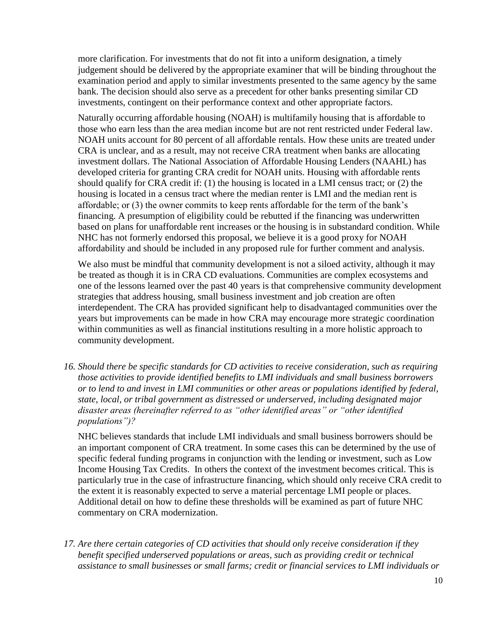more clarification. For investments that do not fit into a uniform designation, a timely judgement should be delivered by the appropriate examiner that will be binding throughout the examination period and apply to similar investments presented to the same agency by the same bank. The decision should also serve as a precedent for other banks presenting similar CD investments, contingent on their performance context and other appropriate factors.

Naturally occurring affordable housing (NOAH) is multifamily housing that is affordable to those who earn less than the area median income but are not rent restricted under Federal law. NOAH units account for 80 percent of all affordable rentals. How these units are treated under CRA is unclear, and as a result, may not receive CRA treatment when banks are allocating investment dollars. The National Association of Affordable Housing Lenders (NAAHL) has developed criteria for granting CRA credit for NOAH units. Housing with affordable rents should qualify for CRA credit if: (1) the housing is located in a LMI census tract; or (2) the housing is located in a census tract where the median renter is LMI and the median rent is affordable; or (3) the owner commits to keep rents affordable for the term of the bank's financing. A presumption of eligibility could be rebutted if the financing was underwritten based on plans for unaffordable rent increases or the housing is in substandard condition. While NHC has not formerly endorsed this proposal, we believe it is a good proxy for NOAH affordability and should be included in any proposed rule for further comment and analysis.

We also must be mindful that community development is not a siloed activity, although it may be treated as though it is in CRA CD evaluations. Communities are complex ecosystems and one of the lessons learned over the past 40 years is that comprehensive community development strategies that address housing, small business investment and job creation are often interdependent. The CRA has provided significant help to disadvantaged communities over the years but improvements can be made in how CRA may encourage more strategic coordination within communities as well as financial institutions resulting in a more holistic approach to community development.

*16. Should there be specific standards for CD activities to receive consideration, such as requiring those activities to provide identified benefits to LMI individuals and small business borrowers or to lend to and invest in LMI communities or other areas or populations identified by federal, state, local, or tribal government as distressed or underserved, including designated major disaster areas (hereinafter referred to as "other identified areas" or "other identified populations")?*

NHC believes standards that include LMI individuals and small business borrowers should be an important component of CRA treatment. In some cases this can be determined by the use of specific federal funding programs in conjunction with the lending or investment, such as Low Income Housing Tax Credits. In others the context of the investment becomes critical. This is particularly true in the case of infrastructure financing, which should only receive CRA credit to the extent it is reasonably expected to serve a material percentage LMI people or places. Additional detail on how to define these thresholds will be examined as part of future NHC commentary on CRA modernization.

*17. Are there certain categories of CD activities that should only receive consideration if they benefit specified underserved populations or areas, such as providing credit or technical assistance to small businesses or small farms; credit or financial services to LMI individuals or*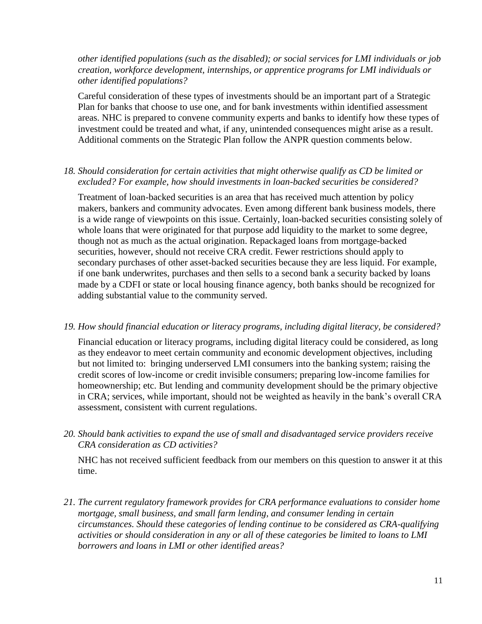*other identified populations (such as the disabled); or social services for LMI individuals or job creation, workforce development, internships, or apprentice programs for LMI individuals or other identified populations?*

Careful consideration of these types of investments should be an important part of a Strategic Plan for banks that choose to use one, and for bank investments within identified assessment areas. NHC is prepared to convene community experts and banks to identify how these types of investment could be treated and what, if any, unintended consequences might arise as a result. Additional comments on the Strategic Plan follow the ANPR question comments below.

*18. Should consideration for certain activities that might otherwise qualify as CD be limited or excluded? For example, how should investments in loan-backed securities be considered?*

Treatment of loan-backed securities is an area that has received much attention by policy makers, bankers and community advocates. Even among different bank business models, there is a wide range of viewpoints on this issue. Certainly, loan-backed securities consisting solely of whole loans that were originated for that purpose add liquidity to the market to some degree, though not as much as the actual origination. Repackaged loans from mortgage-backed securities, however, should not receive CRA credit. Fewer restrictions should apply to secondary purchases of other asset-backed securities because they are less liquid. For example, if one bank underwrites, purchases and then sells to a second bank a security backed by loans made by a CDFI or state or local housing finance agency, both banks should be recognized for adding substantial value to the community served.

#### *19. How should financial education or literacy programs, including digital literacy, be considered?*

Financial education or literacy programs, including digital literacy could be considered, as long as they endeavor to meet certain community and economic development objectives, including but not limited to: bringing underserved LMI consumers into the banking system; raising the credit scores of low-income or credit invisible consumers; preparing low-income families for homeownership; etc. But lending and community development should be the primary objective in CRA; services, while important, should not be weighted as heavily in the bank's overall CRA assessment, consistent with current regulations.

*20. Should bank activities to expand the use of small and disadvantaged service providers receive CRA consideration as CD activities?*

NHC has not received sufficient feedback from our members on this question to answer it at this time.

*21. The current regulatory framework provides for CRA performance evaluations to consider home mortgage, small business, and small farm lending, and consumer lending in certain circumstances. Should these categories of lending continue to be considered as CRA-qualifying activities or should consideration in any or all of these categories be limited to loans to LMI borrowers and loans in LMI or other identified areas?*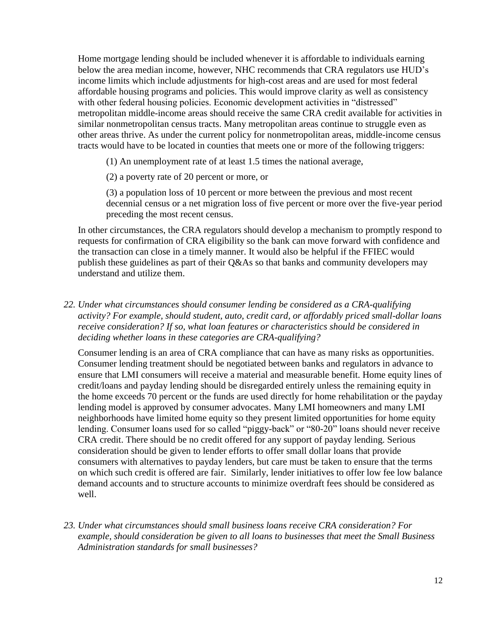Home mortgage lending should be included whenever it is affordable to individuals earning below the area median income, however, NHC recommends that CRA regulators use HUD's income limits which include adjustments for high-cost areas and are used for most federal affordable housing programs and policies. This would improve clarity as well as consistency with other federal housing policies. Economic development activities in "distressed" metropolitan middle-income areas should receive the same CRA credit available for activities in similar nonmetropolitan census tracts. Many metropolitan areas continue to struggle even as other areas thrive. As under the current policy for nonmetropolitan areas, middle-income census tracts would have to be located in counties that meets one or more of the following triggers:

- (1) An unemployment rate of at least 1.5 times the national average,
- (2) a poverty rate of 20 percent or more, or

(3) a population loss of 10 percent or more between the previous and most recent decennial census or a net migration loss of five percent or more over the five-year period preceding the most recent census.

In other circumstances, the CRA regulators should develop a mechanism to promptly respond to requests for confirmation of CRA eligibility so the bank can move forward with confidence and the transaction can close in a timely manner. It would also be helpful if the FFIEC would publish these guidelines as part of their Q&As so that banks and community developers may understand and utilize them.

*22. Under what circumstances should consumer lending be considered as a CRA-qualifying activity? For example, should student, auto, credit card, or affordably priced small-dollar loans receive consideration? If so, what loan features or characteristics should be considered in deciding whether loans in these categories are CRA-qualifying?*

Consumer lending is an area of CRA compliance that can have as many risks as opportunities. Consumer lending treatment should be negotiated between banks and regulators in advance to ensure that LMI consumers will receive a material and measurable benefit. Home equity lines of credit/loans and payday lending should be disregarded entirely unless the remaining equity in the home exceeds 70 percent or the funds are used directly for home rehabilitation or the payday lending model is approved by consumer advocates. Many LMI homeowners and many LMI neighborhoods have limited home equity so they present limited opportunities for home equity lending. Consumer loans used for so called "piggy-back" or "80-20" loans should never receive CRA credit. There should be no credit offered for any support of payday lending. Serious consideration should be given to lender efforts to offer small dollar loans that provide consumers with alternatives to payday lenders, but care must be taken to ensure that the terms on which such credit is offered are fair. Similarly, lender initiatives to offer low fee low balance demand accounts and to structure accounts to minimize overdraft fees should be considered as well.

*23. Under what circumstances should small business loans receive CRA consideration? For example, should consideration be given to all loans to businesses that meet the Small Business Administration standards for small businesses?*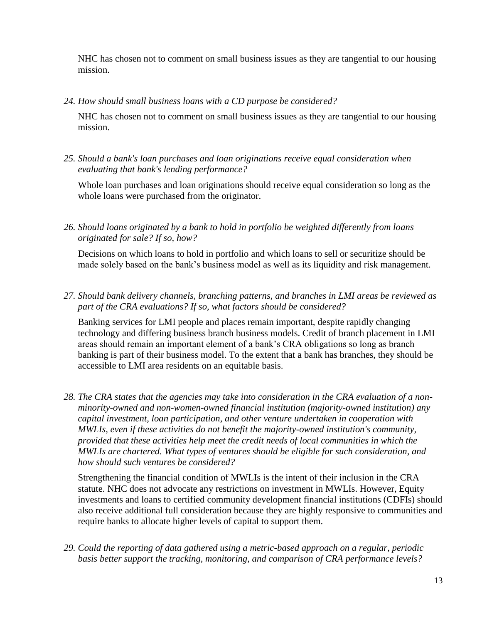NHC has chosen not to comment on small business issues as they are tangential to our housing mission.

*24. How should small business loans with a CD purpose be considered?*

NHC has chosen not to comment on small business issues as they are tangential to our housing mission.

*25. Should a bank's loan purchases and loan originations receive equal consideration when evaluating that bank's lending performance?*

Whole loan purchases and loan originations should receive equal consideration so long as the whole loans were purchased from the originator.

*26. Should loans originated by a bank to hold in portfolio be weighted differently from loans originated for sale? If so, how?*

Decisions on which loans to hold in portfolio and which loans to sell or securitize should be made solely based on the bank's business model as well as its liquidity and risk management.

*27. Should bank delivery channels, branching patterns, and branches in LMI areas be reviewed as part of the CRA evaluations? If so, what factors should be considered?*

Banking services for LMI people and places remain important, despite rapidly changing technology and differing business branch business models. Credit of branch placement in LMI areas should remain an important element of a bank's CRA obligations so long as branch banking is part of their business model. To the extent that a bank has branches, they should be accessible to LMI area residents on an equitable basis.

*28. The CRA states that the agencies may take into consideration in the CRA evaluation of a nonminority-owned and non-women-owned financial institution (majority-owned institution) any capital investment, loan participation, and other venture undertaken in cooperation with MWLIs, even if these activities do not benefit the majority-owned institution's community, provided that these activities help meet the credit needs of local communities in which the MWLIs are chartered. What types of ventures should be eligible for such consideration, and how should such ventures be considered?*

Strengthening the financial condition of MWLIs is the intent of their inclusion in the CRA statute. NHC does not advocate any restrictions on investment in MWLIs. However, Equity investments and loans to certified community development financial institutions (CDFIs) should also receive additional full consideration because they are highly responsive to communities and require banks to allocate higher levels of capital to support them.

*29. Could the reporting of data gathered using a metric-based approach on a regular, periodic basis better support the tracking, monitoring, and comparison of CRA performance levels?*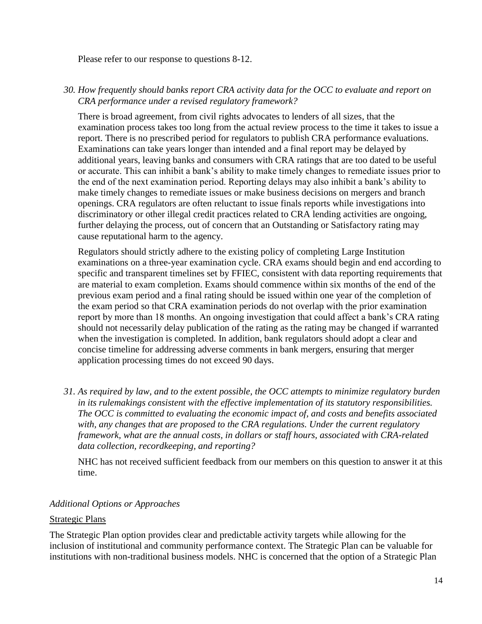Please refer to our response to questions 8-12.

## *30. How frequently should banks report CRA activity data for the OCC to evaluate and report on CRA performance under a revised regulatory framework?*

There is broad agreement, from civil rights advocates to lenders of all sizes, that the examination process takes too long from the actual review process to the time it takes to issue a report. There is no prescribed period for regulators to publish CRA performance evaluations. Examinations can take years longer than intended and a final report may be delayed by additional years, leaving banks and consumers with CRA ratings that are too dated to be useful or accurate. This can inhibit a bank's ability to make timely changes to remediate issues prior to the end of the next examination period. Reporting delays may also inhibit a bank's ability to make timely changes to remediate issues or make business decisions on mergers and branch openings. CRA regulators are often reluctant to issue finals reports while investigations into discriminatory or other illegal credit practices related to CRA lending activities are ongoing, further delaying the process, out of concern that an Outstanding or Satisfactory rating may cause reputational harm to the agency.

Regulators should strictly adhere to the existing policy of completing Large Institution examinations on a three-year examination cycle. CRA exams should begin and end according to specific and transparent timelines set by FFIEC, consistent with data reporting requirements that are material to exam completion. Exams should commence within six months of the end of the previous exam period and a final rating should be issued within one year of the completion of the exam period so that CRA examination periods do not overlap with the prior examination report by more than 18 months. An ongoing investigation that could affect a bank's CRA rating should not necessarily delay publication of the rating as the rating may be changed if warranted when the investigation is completed. In addition, bank regulators should adopt a clear and concise timeline for addressing adverse comments in bank mergers, ensuring that merger application processing times do not exceed 90 days.

*31. As required by law, and to the extent possible, the OCC attempts to minimize regulatory burden in its rulemakings consistent with the effective implementation of its statutory responsibilities. The OCC is committed to evaluating the economic impact of, and costs and benefits associated with, any changes that are proposed to the CRA regulations. Under the current regulatory framework, what are the annual costs, in dollars or staff hours, associated with CRA-related data collection, recordkeeping, and reporting?*

NHC has not received sufficient feedback from our members on this question to answer it at this time.

# *Additional Options or Approaches*

# Strategic Plans

The Strategic Plan option provides clear and predictable activity targets while allowing for the inclusion of institutional and community performance context. The Strategic Plan can be valuable for institutions with non-traditional business models. NHC is concerned that the option of a Strategic Plan